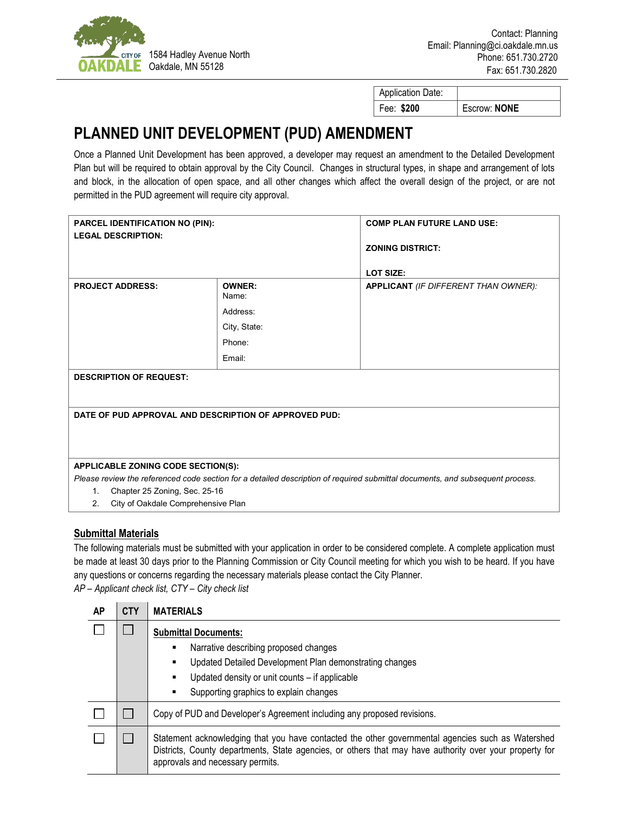

| <b>Application Date:</b> |              |
|--------------------------|--------------|
| Fee: \$200               | Escrow: NONE |

## **PLANNED UNIT DEVELOPMENT (PUD) AMENDMENT**

Once a Planned Unit Development has been approved, a developer may request an amendment to the Detailed Development Plan but will be required to obtain approval by the City Council. Changes in structural types, in shape and arrangement of lots and block, in the allocation of open space, and all other changes which affect the overall design of the project, or are not permitted in the PUD agreement will require city approval.

| <b>PARCEL IDENTIFICATION NO (PIN):</b>                |                        | <b>COMP PLAN FUTURE LAND USE:</b>                                                                                             |  |  |  |
|-------------------------------------------------------|------------------------|-------------------------------------------------------------------------------------------------------------------------------|--|--|--|
| <b>LEGAL DESCRIPTION:</b>                             |                        | <b>ZONING DISTRICT:</b>                                                                                                       |  |  |  |
|                                                       |                        |                                                                                                                               |  |  |  |
|                                                       |                        | <b>LOT SIZE:</b>                                                                                                              |  |  |  |
| <b>PROJECT ADDRESS:</b>                               | <b>OWNER:</b><br>Name: | <b>APPLICANT</b> (IF DIFFERENT THAN OWNER):                                                                                   |  |  |  |
|                                                       | Address:               |                                                                                                                               |  |  |  |
|                                                       | City, State:           |                                                                                                                               |  |  |  |
|                                                       | Phone:                 |                                                                                                                               |  |  |  |
|                                                       | Email:                 |                                                                                                                               |  |  |  |
| <b>DESCRIPTION OF REQUEST:</b>                        |                        |                                                                                                                               |  |  |  |
|                                                       |                        |                                                                                                                               |  |  |  |
|                                                       |                        |                                                                                                                               |  |  |  |
| DATE OF PUD APPROVAL AND DESCRIPTION OF APPROVED PUD: |                        |                                                                                                                               |  |  |  |
|                                                       |                        |                                                                                                                               |  |  |  |
|                                                       |                        |                                                                                                                               |  |  |  |
| APPLICABLE ZONING CODE SECTION(S):                    |                        |                                                                                                                               |  |  |  |
|                                                       |                        | Please review the referenced code section for a detailed description of required submittal documents, and subsequent process. |  |  |  |
| Chapter 25 Zoning, Sec. 25-16<br>1 <sub>1</sub>       |                        |                                                                                                                               |  |  |  |
| City of Oakdale Comprehensive Plan<br>2.              |                        |                                                                                                                               |  |  |  |

## **Submittal Materials**

The following materials must be submitted with your application in order to be considered complete. A complete application must be made at least 30 days prior to the Planning Commission or City Council meeting for which you wish to be heard. If you have any questions or concerns regarding the necessary materials please contact the City Planner.

*AP – Applicant check list, CTY – City check list*

| AP | <b>CTY</b>   | <b>MATERIALS</b>                                                                                                                                                                                                                                 |  |
|----|--------------|--------------------------------------------------------------------------------------------------------------------------------------------------------------------------------------------------------------------------------------------------|--|
|    | $\mathbf{L}$ | <b>Submittal Documents:</b><br>Narrative describing proposed changes<br>٠<br>Updated Detailed Development Plan demonstrating changes<br>٠<br>Updated density or unit counts - if applicable<br>٠<br>Supporting graphics to explain changes       |  |
|    |              | Copy of PUD and Developer's Agreement including any proposed revisions.                                                                                                                                                                          |  |
|    |              | Statement acknowledging that you have contacted the other governmental agencies such as Watershed<br>Districts, County departments, State agencies, or others that may have authority over your property for<br>approvals and necessary permits. |  |